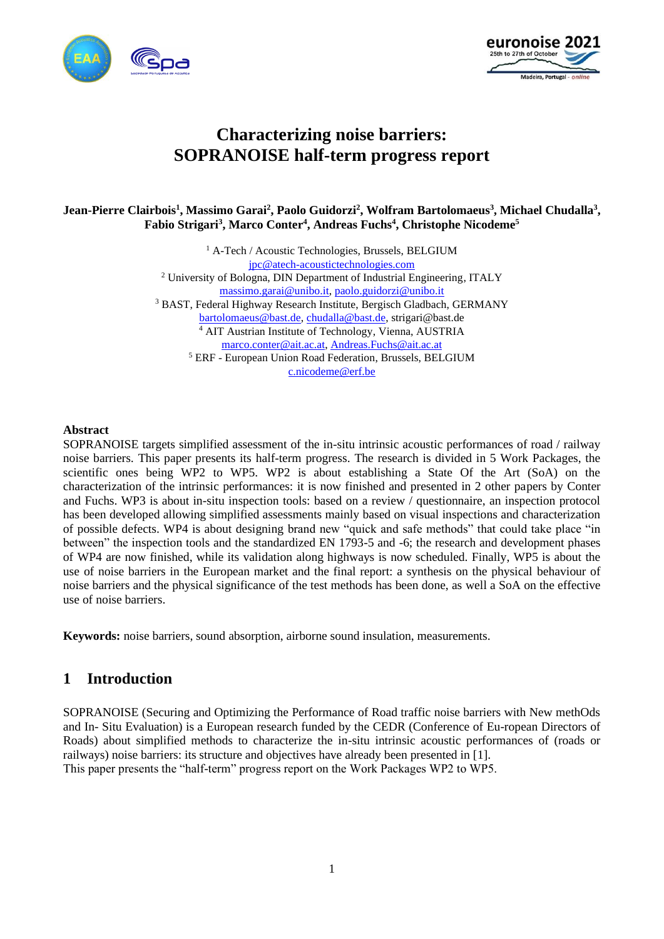



# **Characterizing noise barriers: SOPRANOISE half-term progress report**

**Jean-Pierre Clairbois<sup>1</sup> , Massimo Garai<sup>2</sup> , Paolo Guidorzi<sup>2</sup> , Wolfram Bartolomaeus<sup>3</sup> , Michael Chudalla<sup>3</sup> , Fabio Strigari<sup>3</sup> , Marco Conter<sup>4</sup> , Andreas Fuchs<sup>4</sup> , Christophe Nicodeme<sup>5</sup>**

> <sup>1</sup> A-Tech / Acoustic Technologies, Brussels, BELGIUM [jpc@atech-acoustictechnologies.com](mailto:jpc@atech-acoustictechnologies.com) <sup>2</sup> University of Bologna, DIN Department of Industrial Engineering, ITALY [massimo.garai@unibo.it,](mailto:massimo.garai@unibo.it) [paolo.guidorzi@unibo.it](mailto:paolo.guidorzi@unibo.it) <sup>3</sup> BAST, Federal Highway Research Institute, Bergisch Gladbach, GERMANY [bartolomaeus@bast.de,](mailto:bartolomaeus@bast.de) [chudalla@bast.de,](mailto:chudalla@bast.de) strigari@bast.de <sup>4</sup> AIT Austrian Institute of Technology, Vienna, AUSTRIA [marco.conter@ait.ac.at,](mailto:marco.conter@ait.ac.at) [Andreas.Fuchs@ait.ac.at](mailto:Andreas.Fuchs@ait.ac.at) <sup>5</sup> ERF - European Union Road Federation, Brussels, BELGIUM [c.nicodeme@erf.be](mailto:c.nicodeme@erf.be)

#### **Abstract**

SOPRANOISE targets simplified assessment of the in-situ intrinsic acoustic performances of road / railway noise barriers. This paper presents its half-term progress. The research is divided in 5 Work Packages, the scientific ones being WP2 to WP5. WP2 is about establishing a State Of the Art (SoA) on the characterization of the intrinsic performances: it is now finished and presented in 2 other papers by Conter and Fuchs. WP3 is about in-situ inspection tools: based on a review / questionnaire, an inspection protocol has been developed allowing simplified assessments mainly based on visual inspections and characterization of possible defects. WP4 is about designing brand new "quick and safe methods" that could take place "in between" the inspection tools and the standardized EN 1793-5 and -6; the research and development phases of WP4 are now finished, while its validation along highways is now scheduled. Finally, WP5 is about the use of noise barriers in the European market and the final report: a synthesis on the physical behaviour of noise barriers and the physical significance of the test methods has been done, as well a SoA on the effective use of noise barriers.

**Keywords:** noise barriers, sound absorption, airborne sound insulation, measurements.

### **1 Introduction**

SOPRANOISE (Securing and Optimizing the Performance of Road traffic noise barriers with New methOds and In- Situ Evaluation) is a European research funded by the CEDR (Conference of Eu-ropean Directors of Roads) about simplified methods to characterize the in-situ intrinsic acoustic performances of (roads or railways) noise barriers: its structure and objectives have already been presented in [1]. This paper presents the "half-term" progress report on the Work Packages WP2 to WP5.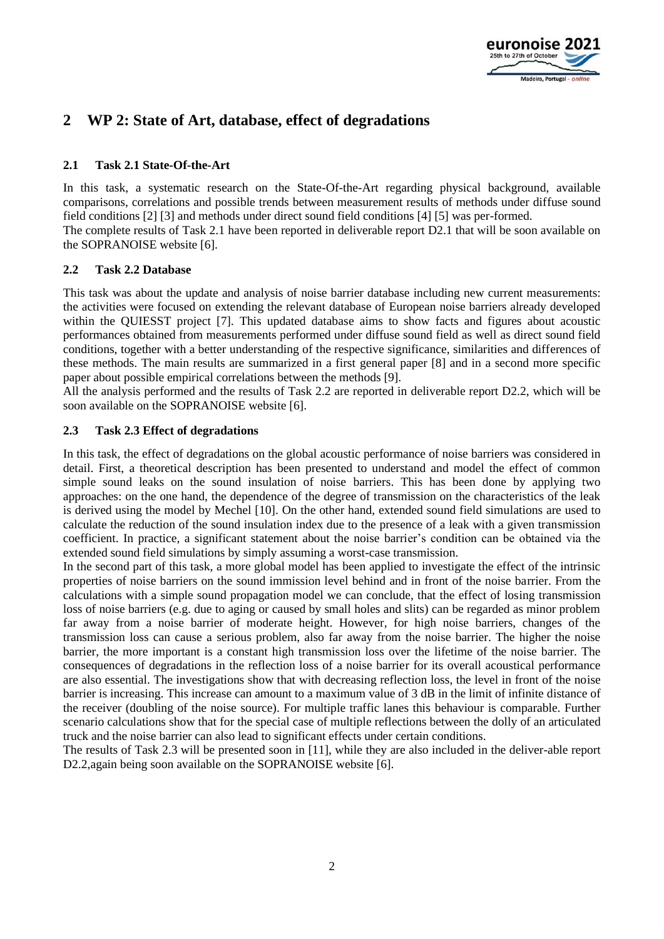

## **2 WP 2: State of Art, database, effect of degradations**

### **2.1 Task 2.1 State-Of-the-Art**

In this task, a systematic research on the State-Of-the-Art regarding physical background, available comparisons, correlations and possible trends between measurement results of methods under diffuse sound field conditions [2] [3] and methods under direct sound field conditions [4] [5] was per-formed. The complete results of Task 2.1 have been reported in deliverable report D2.1 that will be soon available on the SOPRANOISE website [6].

### **2.2 Task 2.2 Database**

This task was about the update and analysis of noise barrier database including new current measurements: the activities were focused on extending the relevant database of European noise barriers already developed within the QUIESST project [7]. This updated database aims to show facts and figures about acoustic performances obtained from measurements performed under diffuse sound field as well as direct sound field conditions, together with a better understanding of the respective significance, similarities and differences of these methods. The main results are summarized in a first general paper [8] and in a second more specific paper about possible empirical correlations between the methods [9].

All the analysis performed and the results of Task 2.2 are reported in deliverable report D2.2, which will be soon available on the SOPRANOISE website [6].

### **2.3 Task 2.3 Effect of degradations**

In this task, the effect of degradations on the global acoustic performance of noise barriers was considered in detail. First, a theoretical description has been presented to understand and model the effect of common simple sound leaks on the sound insulation of noise barriers. This has been done by applying two approaches: on the one hand, the dependence of the degree of transmission on the characteristics of the leak is derived using the model by Mechel [10]. On the other hand, extended sound field simulations are used to calculate the reduction of the sound insulation index due to the presence of a leak with a given transmission coefficient. In practice, a significant statement about the noise barrier's condition can be obtained via the extended sound field simulations by simply assuming a worst-case transmission.

In the second part of this task, a more global model has been applied to investigate the effect of the intrinsic properties of noise barriers on the sound immission level behind and in front of the noise barrier. From the calculations with a simple sound propagation model we can conclude, that the effect of losing transmission loss of noise barriers (e.g. due to aging or caused by small holes and slits) can be regarded as minor problem far away from a noise barrier of moderate height. However, for high noise barriers, changes of the transmission loss can cause a serious problem, also far away from the noise barrier. The higher the noise barrier, the more important is a constant high transmission loss over the lifetime of the noise barrier. The consequences of degradations in the reflection loss of a noise barrier for its overall acoustical performance are also essential. The investigations show that with decreasing reflection loss, the level in front of the noise barrier is increasing. This increase can amount to a maximum value of 3 dB in the limit of infinite distance of the receiver (doubling of the noise source). For multiple traffic lanes this behaviour is comparable. Further scenario calculations show that for the special case of multiple reflections between the dolly of an articulated truck and the noise barrier can also lead to significant effects under certain conditions.

The results of Task 2.3 will be presented soon in [11], while they are also included in the deliver-able report D2.2, again being soon available on the SOPRANOISE website [6].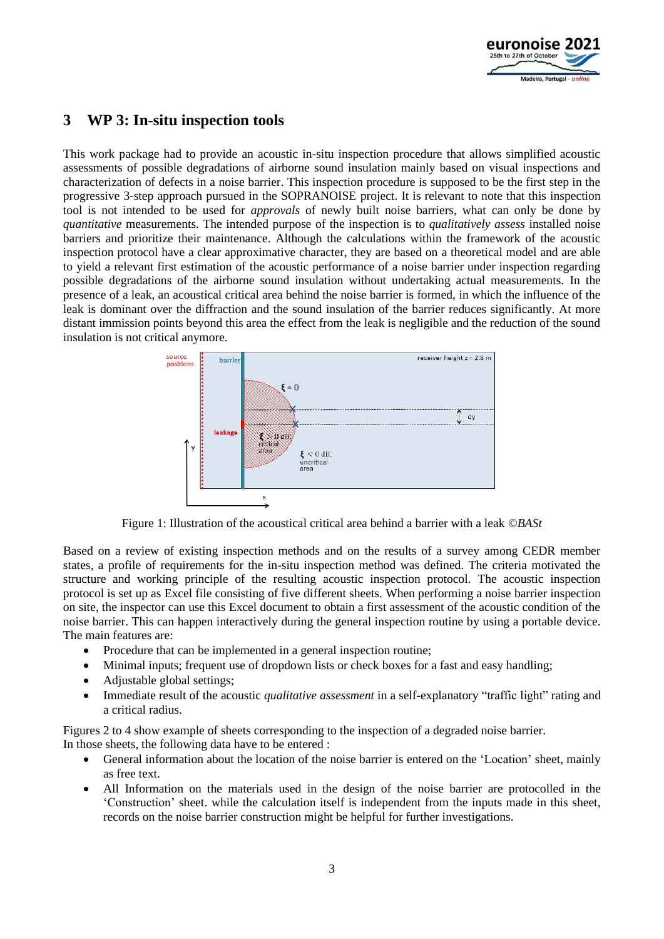

## **3 WP 3: In-situ inspection tools**

This work package had to provide an acoustic in-situ inspection procedure that allows simplified acoustic assessments of possible degradations of airborne sound insulation mainly based on visual inspections and characterization of defects in a noise barrier. This inspection procedure is supposed to be the first step in the progressive 3-step approach pursued in the SOPRANOISE project. It is relevant to note that this inspection tool is not intended to be used for *approvals* of newly built noise barriers, what can only be done by *quantitative* measurements. The intended purpose of the inspection is to *qualitatively assess* installed noise barriers and prioritize their maintenance. Although the calculations within the framework of the acoustic inspection protocol have a clear approximative character, they are based on a theoretical model and are able to yield a relevant first estimation of the acoustic performance of a noise barrier under inspection regarding possible degradations of the airborne sound insulation without undertaking actual measurements. In the presence of a leak, an acoustical critical area behind the noise barrier is formed, in which the influence of the leak is dominant over the diffraction and the sound insulation of the barrier reduces significantly. At more distant immission points beyond this area the effect from the leak is negligible and the reduction of the sound insulation is not critical anymore.



Figure 1: Illustration of the acoustical critical area behind a barrier with a leak *©BASt*

Based on a review of existing inspection methods and on the results of a survey among CEDR member states, a profile of requirements for the in-situ inspection method was defined. The criteria motivated the structure and working principle of the resulting acoustic inspection protocol. The acoustic inspection protocol is set up as Excel file consisting of five different sheets. When performing a noise barrier inspection on site, the inspector can use this Excel document to obtain a first assessment of the acoustic condition of the noise barrier. This can happen interactively during the general inspection routine by using a portable device. The main features are:

- Procedure that can be implemented in a general inspection routine;
- Minimal inputs; frequent use of dropdown lists or check boxes for a fast and easy handling;
- Adjustable global settings;
- Immediate result of the acoustic *qualitative assessment* in a self-explanatory "traffic light" rating and a critical radius.

Figures 2 to 4 show example of sheets corresponding to the inspection of a degraded noise barrier. In those sheets, the following data have to be entered :

- General information about the location of the noise barrier is entered on the 'Location' sheet, mainly as free text.
- All Information on the materials used in the design of the noise barrier are protocolled in the 'Construction' sheet. while the calculation itself is independent from the inputs made in this sheet, records on the noise barrier construction might be helpful for further investigations.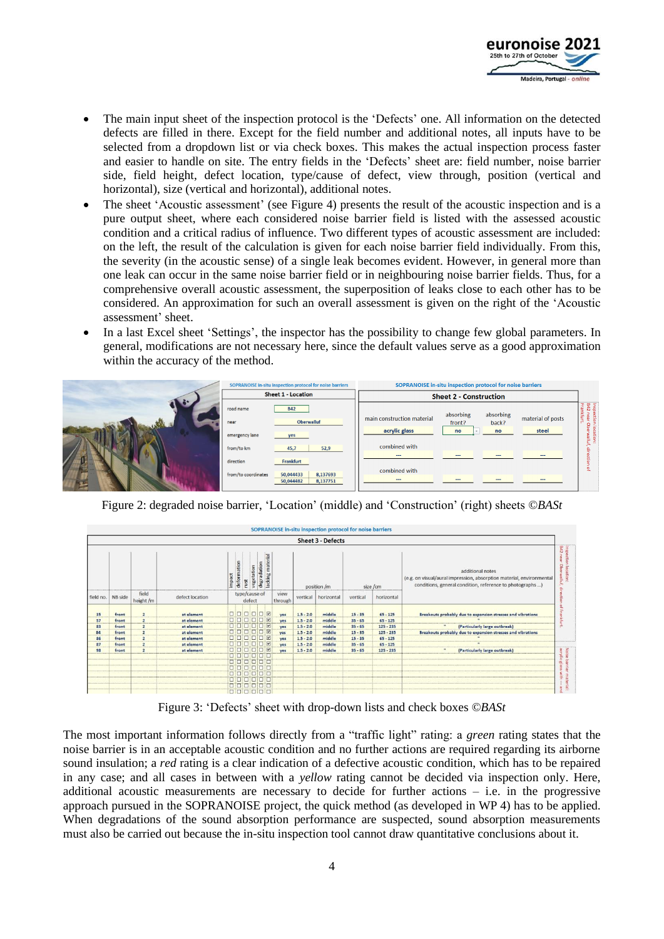

- The main input sheet of the inspection protocol is the 'Defects' one. All information on the detected defects are filled in there. Except for the field number and additional notes, all inputs have to be selected from a dropdown list or via check boxes. This makes the actual inspection process faster and easier to handle on site. The entry fields in the 'Defects' sheet are: field number, noise barrier side, field height, defect location, type/cause of defect, view through, position (vertical and horizontal), size (vertical and horizontal), additional notes.
- The sheet 'Acoustic assessment' (see Figure 4) presents the result of the acoustic inspection and is a pure output sheet, where each considered noise barrier field is listed with the assessed acoustic condition and a critical radius of influence. Two different types of acoustic assessment are included: on the left, the result of the calculation is given for each noise barrier field individually. From this, the severity (in the acoustic sense) of a single leak becomes evident. However, in general more than one leak can occur in the same noise barrier field or in neighbouring noise barrier fields. Thus, for a comprehensive overall acoustic assessment, the superposition of leaks close to each other has to be considered. An approximation for such an overall assessment is given on the right of the 'Acoustic assessment' sheet.
- In a last Excel sheet 'Settings', the inspector has the possibility to change few global parameters. In general, modifications are not necessary here, since the default values serve as a good approximation within the accuracy of the method.



Figure 2: degraded noise barrier, 'Location' (middle) and 'Construction' (right) sheets *©BASt*



Figure 3: 'Defects' sheet with drop-down lists and check boxes *©BASt*

The most important information follows directly from a "traffic light" rating: a *green* rating states that the noise barrier is in an acceptable acoustic condition and no further actions are required regarding its airborne sound insulation; a *red* rating is a clear indication of a defective acoustic condition, which has to be repaired in any case; and all cases in between with a *yellow* rating cannot be decided via inspection only. Here, additional acoustic measurements are necessary to decide for further actions – i.e. in the progressive approach pursued in the SOPRANOISE project, the quick method (as developed in WP 4) has to be applied. When degradations of the sound absorption performance are suspected, sound absorption measurements must also be carried out because the in-situ inspection tool cannot draw quantitative conclusions about it.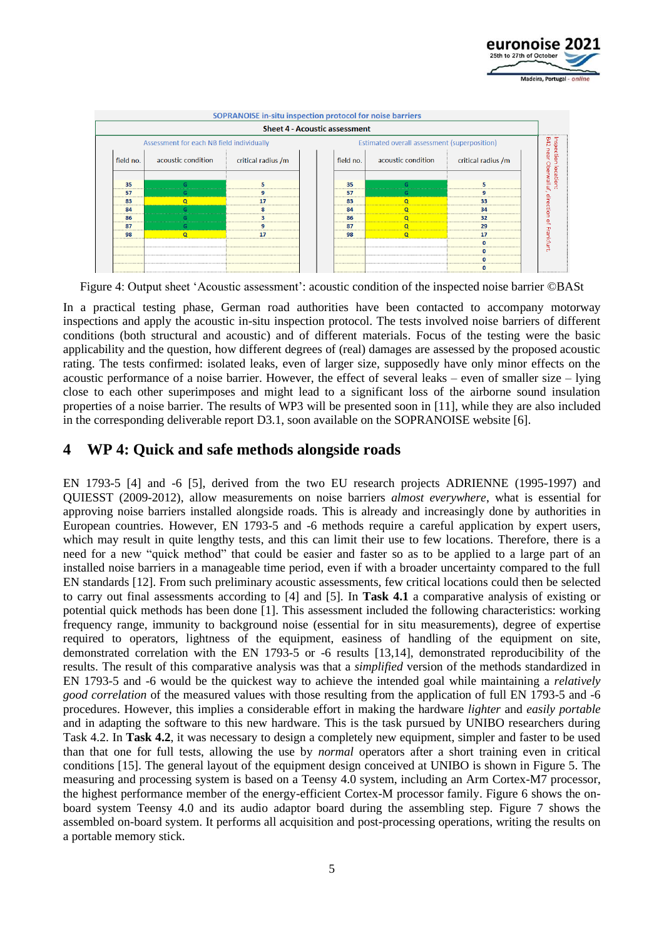



Figure 4: Output sheet 'Acoustic assessment': acoustic condition of the inspected noise barrier ©BASt

In a practical testing phase, German road authorities have been contacted to accompany motorway inspections and apply the acoustic in-situ inspection protocol. The tests involved noise barriers of different conditions (both structural and acoustic) and of different materials. Focus of the testing were the basic applicability and the question, how different degrees of (real) damages are assessed by the proposed acoustic rating. The tests confirmed: isolated leaks, even of larger size, supposedly have only minor effects on the acoustic performance of a noise barrier. However, the effect of several leaks – even of smaller size – lying close to each other superimposes and might lead to a significant loss of the airborne sound insulation properties of a noise barrier. The results of WP3 will be presented soon in [11], while they are also included in the corresponding deliverable report D3.1, soon available on the SOPRANOISE website [6].

## **4 WP 4: Quick and safe methods alongside roads**

EN 1793-5 [4] and -6 [5], derived from the two EU research projects ADRIENNE (1995-1997) and QUIESST (2009-2012), allow measurements on noise barriers *almost everywhere*, what is essential for approving noise barriers installed alongside roads. This is already and increasingly done by authorities in European countries. However, EN 1793-5 and -6 methods require a careful application by expert users, which may result in quite lengthy tests, and this can limit their use to few locations. Therefore, there is a need for a new "quick method" that could be easier and faster so as to be applied to a large part of an installed noise barriers in a manageable time period, even if with a broader uncertainty compared to the full EN standards [12]. From such preliminary acoustic assessments, few critical locations could then be selected to carry out final assessments according to [4] and [5]. In **Task 4.1** a comparative analysis of existing or potential quick methods has been done [1]. This assessment included the following characteristics: working frequency range, immunity to background noise (essential for in situ measurements), degree of expertise required to operators, lightness of the equipment, easiness of handling of the equipment on site, demonstrated correlation with the EN 1793-5 or -6 results [13,14], demonstrated reproducibility of the results. The result of this comparative analysis was that a *simplified* version of the methods standardized in EN 1793-5 and -6 would be the quickest way to achieve the intended goal while maintaining a *relatively good correlation* of the measured values with those resulting from the application of full EN 1793-5 and -6 procedures. However, this implies a considerable effort in making the hardware *lighter* and *easily portable* and in adapting the software to this new hardware. This is the task pursued by UNIBO researchers during Task 4.2. In **Task 4.2**, it was necessary to design a completely new equipment, simpler and faster to be used than that one for full tests, allowing the use by *normal* operators after a short training even in critical conditions [15]. The general layout of the equipment design conceived at UNIBO is shown in Figure 5. The measuring and processing system is based on a Teensy 4.0 system, including an Arm Cortex-M7 processor, the highest performance member of the energy-efficient Cortex-M processor family. Figure 6 shows the onboard system Teensy 4.0 and its audio adaptor board during the assembling step. Figure 7 shows the assembled on-board system. It performs all acquisition and post-processing operations, writing the results on a portable memory stick.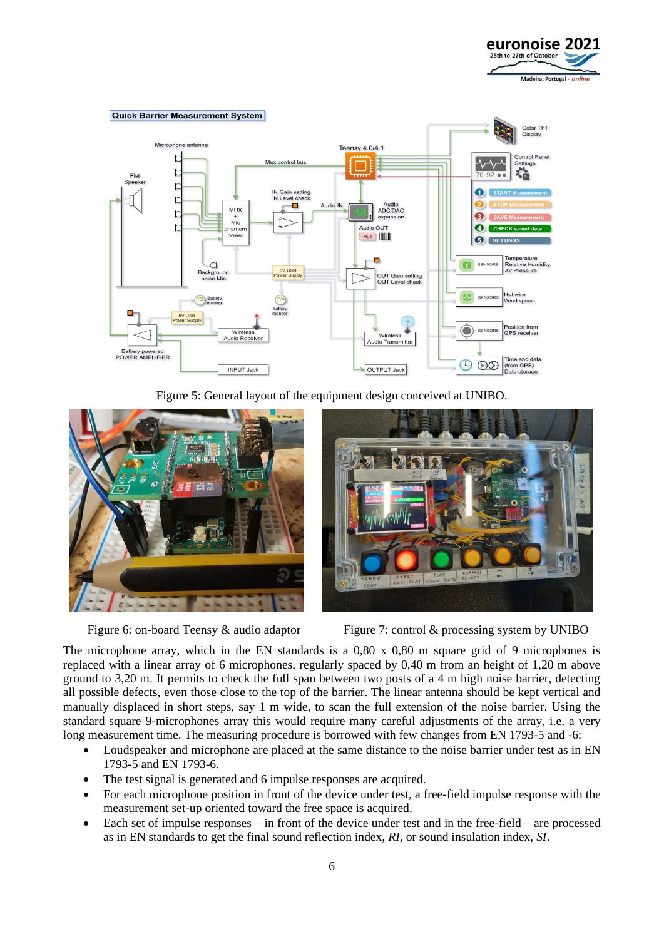



Figure 5: General layout of the equipment design conceived at UNIBO.





Figure 6: on-board Teensy & audio adaptor Figure 7: control & processing system by UNIBO

The microphone array, which in the EN standards is a 0,80 x 0,80 m square grid of 9 microphones is replaced with a linear array of 6 microphones, regularly spaced by 0,40 m from an height of 1,20 m above ground to 3,20 m. It permits to check the full span between two posts of a 4 m high noise barrier, detecting all possible defects, even those close to the top of the barrier. The linear antenna should be kept vertical and manually displaced in short steps, say 1 m wide, to scan the full extension of the noise barrier. Using the standard square 9-microphones array this would require many careful adjustments of the array, i.e. a very long measurement time. The measuring procedure is borrowed with few changes from EN 1793-5 and -6:

- Loudspeaker and microphone are placed at the same distance to the noise barrier under test as in EN 1793-5 and EN 1793-6.
- The test signal is generated and 6 impulse responses are acquired.
- For each microphone position in front of the device under test, a free-field impulse response with the measurement set-up oriented toward the free space is acquired.
- Each set of impulse responses in front of the device under test and in the free-field are processed as in EN standards to get the final sound reflection index, *RI*, or sound insulation index, *SI*.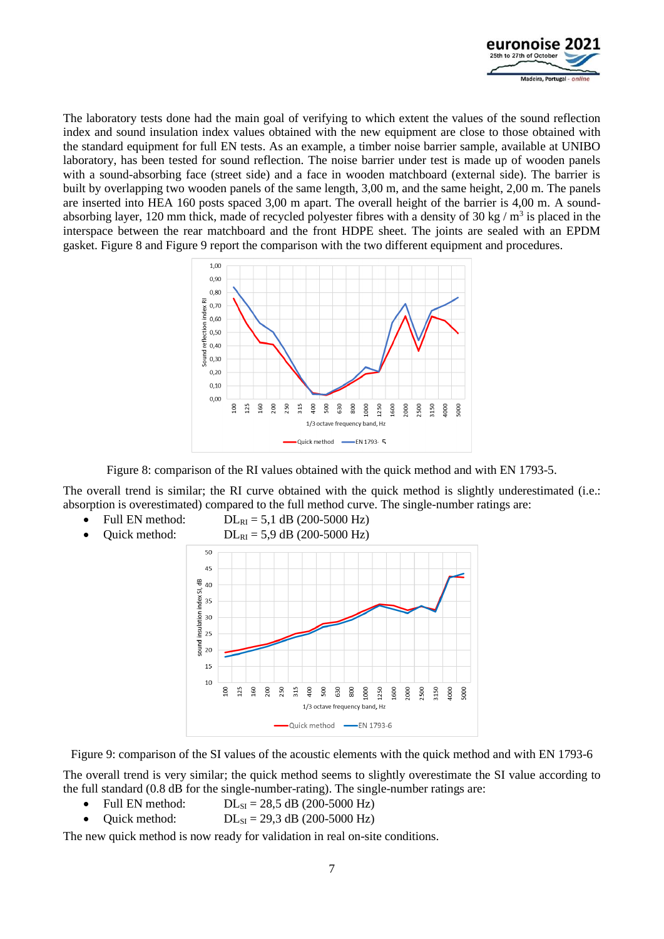

The laboratory tests done had the main goal of verifying to which extent the values of the sound reflection index and sound insulation index values obtained with the new equipment are close to those obtained with the standard equipment for full EN tests. As an example, a timber noise barrier sample, available at UNIBO laboratory, has been tested for sound reflection. The noise barrier under test is made up of wooden panels with a sound-absorbing face (street side) and a face in wooden matchboard (external side). The barrier is built by overlapping two wooden panels of the same length, 3,00 m, and the same height, 2,00 m. The panels are inserted into HEA 160 posts spaced 3,00 m apart. The overall height of the barrier is 4,00 m. A soundabsorbing layer, 120 mm thick, made of recycled polyester fibres with a density of  $30 \text{ kg} / \text{m}^3$  is placed in the interspace between the rear matchboard and the front HDPE sheet. The joints are sealed with an EPDM gasket. Figure 8 and Figure 9 report the comparison with the two different equipment and procedures.



Figure 8: comparison of the RI values obtained with the quick method and with EN 1793-5.

The overall trend is similar; the RI curve obtained with the quick method is slightly underestimated (i.e.: absorption is overestimated) compared to the full method curve. The single-number ratings are:

• Full EN method:  $DL_{RI} = 5,1$  dB (200-5000 Hz) Quick method:  $DL_{RI} = 5.9$  dB (200-5000 Hz) 50  $45$  $\frac{40}{5}$  40  $\frac{1}{2}$ <br>  $\frac{1}{2}$ <br>  $\frac{1}{2}$ <br>  $\frac{1}{2}$ <br>  $\frac{1}{2}$ <br>  $\frac{1}{2}$ <br>  $\frac{1}{2}$ <br>  $\frac{1}{2}$ <br>  $\frac{1}{2}$ <br>  $\frac{1}{2}$ <br>  $\frac{1}{2}$ <br>  $\frac{1}{2}$ <br>  $\frac{1}{2}$ <br>  $\frac{1}{2}$ <br>  $\frac{1}{2}$  $\frac{2}{9}$  20 15  $10$  $\overline{6}$  $25$ 60  $\overline{5}$  $.50$  $315$ ខ្ព  $500$ 630 800  $000$ 1250 600 ,000 :500 1150 1000 5000 1/3 octave frequency band, Hz Quick method - EN 1793-6

Figure 9: comparison of the SI values of the acoustic elements with the quick method and with EN 1793-6

The overall trend is very similar; the quick method seems to slightly overestimate the SI value according to the full standard (0.8 dB for the single-number-rating). The single-number ratings are:

- Full EN method:  $DL_{SI} = 28.5$  dB (200-5000 Hz)
- Quick method:  $DL_{SI} = 29.3$  dB (200-5000 Hz)

The new quick method is now ready for validation in real on-site conditions.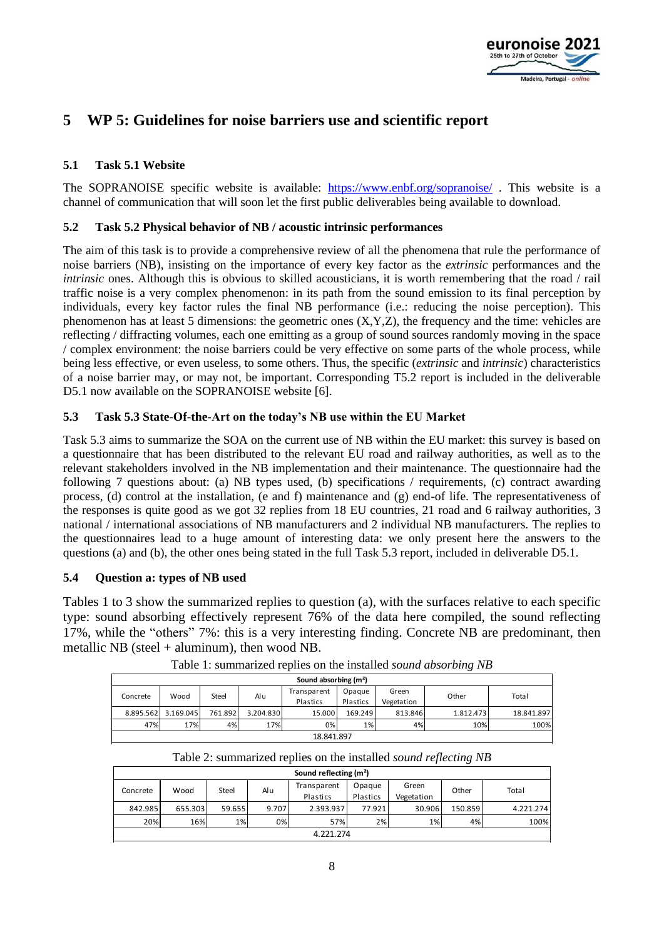

## **5 WP 5: Guidelines for noise barriers use and scientific report**

### **5.1 Task 5.1 Website**

The SOPRANOISE specific website is available: <https://www.enbf.org/sopranoise/>. This website is a channel of communication that will soon let the first public deliverables being available to download.

### **5.2 Task 5.2 Physical behavior of NB / acoustic intrinsic performances**

The aim of this task is to provide a comprehensive review of all the phenomena that rule the performance of noise barriers (NB), insisting on the importance of every key factor as the *extrinsic* performances and the *intrinsic* ones. Although this is obvious to skilled acousticians, it is worth remembering that the road / rail traffic noise is a very complex phenomenon: in its path from the sound emission to its final perception by individuals, every key factor rules the final NB performance (i.e.: reducing the noise perception). This phenomenon has at least 5 dimensions: the geometric ones (X,Y,Z), the frequency and the time: vehicles are reflecting / diffracting volumes, each one emitting as a group of sound sources randomly moving in the space / complex environment: the noise barriers could be very effective on some parts of the whole process, while being less effective, or even useless, to some others. Thus, the specific (*extrinsic* and *intrinsic*) characteristics of a noise barrier may, or may not, be important. Corresponding T5.2 report is included in the deliverable D5.1 now available on the SOPRANOISE website [6].

### **5.3 Task 5.3 State-Of-the-Art on the today's NB use within the EU Market**

Task 5.3 aims to summarize the SOA on the current use of NB within the EU market: this survey is based on a questionnaire that has been distributed to the relevant EU road and railway authorities, as well as to the relevant stakeholders involved in the NB implementation and their maintenance. The questionnaire had the following 7 questions about: (a) NB types used, (b) specifications / requirements, (c) contract awarding process, (d) control at the installation, (e and f) maintenance and (g) end-of life. The representativeness of the responses is quite good as we got 32 replies from 18 EU countries, 21 road and 6 railway authorities, 3 national / international associations of NB manufacturers and 2 individual NB manufacturers. The replies to the questionnaires lead to a huge amount of interesting data: we only present here the answers to the questions (a) and (b), the other ones being stated in the full Task 5.3 report, included in deliverable D5.1.

### **5.4 Question a: types of NB used**

Tables 1 to 3 show the summarized replies to question (a), with the surfaces relative to each specific type: sound absorbing effectively represent 76% of the data here compiled, the sound reflecting 17%, while the "others" 7%: this is a very interesting finding. Concrete NB are predominant, then metallic NB (steel + aluminum), then wood NB.

|                                   |           |         |           |             |          |            | . .       |            |  |
|-----------------------------------|-----------|---------|-----------|-------------|----------|------------|-----------|------------|--|
| Sound absorbing (m <sup>2</sup> ) |           |         |           |             |          |            |           |            |  |
| Concrete                          | Wood      | Steel   | Alu       | Transparent | Opague   | Green      | Other     | Total      |  |
|                                   |           |         |           | Plastics    | Plastics | Vegetation |           |            |  |
| 8.895.562                         | 3.169.045 | 761.892 | 3.204.830 | 15.000      | 169.249  | 813.846    | 1.812.473 | 18.841.897 |  |
| 47%                               | 17%       | 4%      | 17%       | 0%          | 1%       | 4%         | 10%       | 100%       |  |
| 18.841.897                        |           |         |           |             |          |            |           |            |  |

Table 1: summarized replies on the installed *sound absorbing NB*

| Table 2: summarized replies on the installed sound reflecting NB |  |  |  |
|------------------------------------------------------------------|--|--|--|
|                                                                  |  |  |  |

| Sound reflecting (m <sup>2</sup> ) |         |        |       |                         |                    |                     |         |           |  |
|------------------------------------|---------|--------|-------|-------------------------|--------------------|---------------------|---------|-----------|--|
| Concrete                           | Wood    | Steel  | Alu   | Transparent<br>Plastics | Opague<br>Plastics | Green<br>Vegetation | Other   | Total     |  |
| 842.985                            | 655.303 | 59.655 | 9.707 | 2.393.937               | 77.921             | 30.906              | 150.859 | 4.221.274 |  |
| 20%                                | 16%     | $1\%$  | 0%    | 57%                     | 2%                 | 1%                  | 4%      | 100%      |  |
| 4.221.274                          |         |        |       |                         |                    |                     |         |           |  |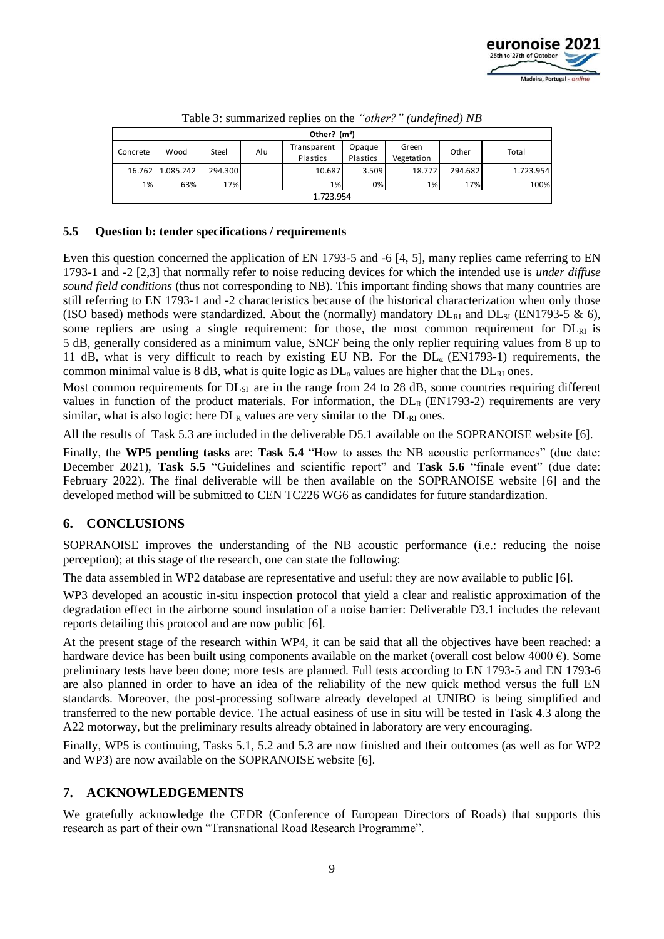

| Other? $(m2)$ |           |         |     |                         |                    |                     |         |           |  |
|---------------|-----------|---------|-----|-------------------------|--------------------|---------------------|---------|-----------|--|
| Concrete      | Wood      | Steel   | Alu | Transparent<br>Plastics | Opaque<br>Plastics | Green<br>Vegetation | Other   | Total     |  |
| 16.762        | 1.085.242 | 294.300 |     | 10.687                  | 3.509              | 18.772              | 294.682 | 1.723.954 |  |
| 1%            | 63%       | 17%     |     | 1%                      | 0%                 | 1%                  | 17%     | 100%      |  |
| 1.723.954     |           |         |     |                         |                    |                     |         |           |  |

Table 3: summarized replies on the *"other?" (undefined) NB*

### **5.5 Question b: tender specifications / requirements**

Even this question concerned the application of EN 1793-5 and -6 [4, 5], many replies came referring to EN 1793-1 and -2 [2,3] that normally refer to noise reducing devices for which the intended use is *under diffuse sound field conditions* (thus not corresponding to NB). This important finding shows that many countries are still referring to EN 1793-1 and -2 characteristics because of the historical characterization when only those (ISO based) methods were standardized. About the (normally) mandatory  $DL_{RI}$  and  $DL_{SI}$  (EN1793-5 & 6), some repliers are using a single requirement: for those, the most common requirement for  $DL<sub>RI</sub>$  is 5 dB, generally considered as a minimum value, SNCF being the only replier requiring values from 8 up to 11 dB, what is very difficult to reach by existing EU NB. For the  $DL_{\alpha}$  (EN1793-1) requirements, the common minimal value is 8 dB, what is quite logic as  $DL_{\alpha}$  values are higher that the  $DL_{\text{RI}}$  ones.

Most common requirements for  $DL_{SI}$  are in the range from 24 to 28 dB, some countries requiring different values in function of the product materials. For information, the  $DL_R$  (EN1793-2) requirements are very similar, what is also logic: here  $DL_R$  values are very similar to the  $DL_{RI}$  ones.

All the results of Task 5.3 are included in the deliverable D5.1 available on the SOPRANOISE website [6].

Finally, the **WP5 pending tasks** are: **Task 5.4** "How to asses the NB acoustic performances" (due date: December 2021), **Task 5.5** "Guidelines and scientific report" and **Task 5.6** "finale event" (due date: February 2022). The final deliverable will be then available on the SOPRANOISE website [6] and the developed method will be submitted to CEN TC226 WG6 as candidates for future standardization.

### **6. CONCLUSIONS**

SOPRANOISE improves the understanding of the NB acoustic performance (i.e.: reducing the noise perception); at this stage of the research, one can state the following:

The data assembled in WP2 database are representative and useful: they are now available to public [6].

WP3 developed an acoustic in-situ inspection protocol that yield a clear and realistic approximation of the degradation effect in the airborne sound insulation of a noise barrier: Deliverable D3.1 includes the relevant reports detailing this protocol and are now public [6].

At the present stage of the research within WP4, it can be said that all the objectives have been reached: a hardware device has been built using components available on the market (overall cost below 4000  $\epsilon$ ). Some preliminary tests have been done; more tests are planned. Full tests according to EN 1793-5 and EN 1793-6 are also planned in order to have an idea of the reliability of the new quick method versus the full EN standards. Moreover, the post-processing software already developed at UNIBO is being simplified and transferred to the new portable device. The actual easiness of use in situ will be tested in Task 4.3 along the A22 motorway, but the preliminary results already obtained in laboratory are very encouraging.

Finally, WP5 is continuing, Tasks 5.1, 5.2 and 5.3 are now finished and their outcomes (as well as for WP2 and WP3) are now available on the SOPRANOISE website [6].

### **7. ACKNOWLEDGEMENTS**

We gratefully acknowledge the CEDR (Conference of European Directors of Roads) that supports this research as part of their own "Transnational Road Research Programme".